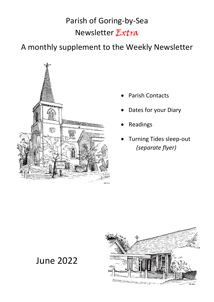# Parish of Goring-by-Sea Newsletter Extra

A monthly supplement to the Weekly Newsletter



- Parish Contacts
- Dates for your Diary
- **Readings**
- Turning Tides sleep-out  *(separate flyer)*



June 2022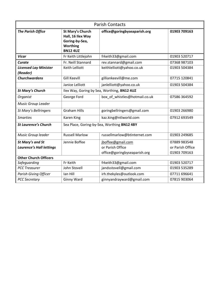| <b>Parish Contacts</b>                   |                                                                                                      |                                          |                  |
|------------------------------------------|------------------------------------------------------------------------------------------------------|------------------------------------------|------------------|
| <b>The Parish Office</b>                 | <b>St Mary's Church</b><br>Hall, 16 Ilex Way<br>Goring-by-Sea,<br><b>Worthing</b><br><b>BN12 4UZ</b> | office@goringbyseaparish.org             | 01903 709163     |
| <b>Vicar</b>                             | Fr Keith Littlejohn                                                                                  | frkeith33@gmail.com                      | 01903 520717     |
| Curate                                   | Fr. Neill Stannard                                                                                   | rev.stannard@gmail.com                   | 07368 987103     |
| <b>Licensed Lay Minister</b><br>(Reader) | Keith Lelliott                                                                                       | keithlelliott@yahoo.co.uk                | 01903 504384     |
| <b>Churchwardens</b>                     | <b>Gill Keevill</b>                                                                                  | gilliankeevill@me.com                    | 07715 120841     |
|                                          | Janice Lelliott                                                                                      | janlelliott@yahoo.co.uk                  | 01903 504384     |
| <b>St Mary's Church</b>                  | Ilex Way, Goring by Sea, Worthing, BN12 4UZ                                                          |                                          |                  |
| Organist                                 | George Ford                                                                                          | box of whistles@hotmail.co.uk            | 07586 364592     |
| <b>Music Group Leader</b>                |                                                                                                      |                                          |                  |
| St Mary's Bellringers                    | <b>Graham Hills</b>                                                                                  | goringbellringers@gmail.com              | 01903 266980     |
| <b>Smarties</b>                          | <b>Karen King</b>                                                                                    | kaz.king@ntlworld.com                    | 07912 693549     |
| <b>St Laurence's Church</b>              | Sea Place, Goring-by-Sea, Worthing BN12 4BY                                                          |                                          |                  |
| Music Group leader                       | <b>Russell Marlow</b>                                                                                | russellmarlow@btinternet.com             | 01903 249685     |
| <b>St Mary's and St</b>                  | Jennie Boffee                                                                                        | jboffee@gmail.com                        | 07889 983548     |
| <b>Laurence's Hall lettings</b>          |                                                                                                      | or Parish Office                         | or Parish Office |
|                                          |                                                                                                      | office@goringbyseaparish.org             | 01903 709163     |
| <b>Other Church Officers</b>             |                                                                                                      |                                          |                  |
| Safeguarding                             | Fr Keith                                                                                             | frkeith33@gmail.com<br>01903 520717      |                  |
| <b>PCC Treasurer</b>                     | John Stovell                                                                                         | jandsstovell@gmail.com<br>01903 535289   |                  |
| <b>Parish Giving Officer</b>             | lan Hill                                                                                             | irh.thekyles@outlook.com<br>07711 696641 |                  |
| <b>PCC Secretary</b>                     | Ginny Ward                                                                                           | ginnyandrayward@gmail.com                | 07815 903064     |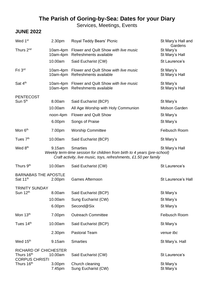# **The Parish of Goring-by-Sea: Dates for your Diary**

Services, Meetings, Events

#### **JUNE 2022**

| Wed 1 <sup>st</sup>                                    | 2.30pm                                                                                                                                                                                      | Royal Teddy Bears' Picnic                                                | St Mary's Hall and<br>Gardens |
|--------------------------------------------------------|---------------------------------------------------------------------------------------------------------------------------------------------------------------------------------------------|--------------------------------------------------------------------------|-------------------------------|
| Thurs 2 <sup>nd</sup>                                  | 10am-4pm<br>10am-4pm                                                                                                                                                                        | Flower and Quilt Show with live music<br>Refreshments available          | St Mary's<br>St Mary's Hall   |
|                                                        | 10.00am                                                                                                                                                                                     | Said Eucharist (CW)                                                      | St Laurence's                 |
| Fri 3rd                                                | 10am-4pm                                                                                                                                                                                    | 10am-4pm Flower and Quilt Show with live music<br>Refreshments available | St Mary's<br>St Mary's Hall   |
| Sat 4 <sup>th</sup>                                    | 10am-4pm                                                                                                                                                                                    | 10am-4pm Flower and Quilt Show with live music<br>Refreshments available | St Mary's<br>St Mary's Hall   |
| <b>PENTECOST</b><br>Sun 5 <sup>th</sup>                | 8.00am                                                                                                                                                                                      | Said Eucharist (BCP)                                                     | St Mary's                     |
|                                                        | 10.00am                                                                                                                                                                                     | All Age Worship with Holy Communion                                      | <b>Molson Garden</b>          |
|                                                        | noon-4pm                                                                                                                                                                                    | <b>Flower and Quilt Show</b>                                             | St Mary's                     |
|                                                        | 6.00pm                                                                                                                                                                                      | Songs of Praise                                                          | St Mary's                     |
| Mon 6 <sup>th</sup>                                    | 7.00pm                                                                                                                                                                                      | <b>Worship Committee</b>                                                 | Feibusch Room                 |
| Tues $7th$                                             | 10.00am                                                                                                                                                                                     | Said Eucharist (BCP)                                                     | St Mary's                     |
| Wed 8 <sup>th</sup>                                    | <b>Smarties</b><br>9.15am<br>St Mary's Hall<br>Weekly term-time session for children from birth to 4 years (pre-school)<br>Craft activity, live music, toys, refreshments, £1.50 per family |                                                                          |                               |
| Thurs 9 <sup>th</sup>                                  | 10.00am                                                                                                                                                                                     | Said Eucharist (CW)                                                      | St Laurence's                 |
| <b>BARNABAS THE APOSTLE</b><br>Sat 11 <sup>th</sup>    | 2.00pm                                                                                                                                                                                      | <b>Games Afternoon</b>                                                   | St Laurence's Hall            |
| <b>TRINITY SUNDAY</b>                                  |                                                                                                                                                                                             |                                                                          |                               |
| Sun 12 <sup>th</sup>                                   | 8.00am                                                                                                                                                                                      | Said Eucharist (BCP)                                                     | St Mary's                     |
|                                                        | 10.00am                                                                                                                                                                                     | Sung Eucharist (CW)                                                      | St Mary's                     |
|                                                        | 6.00pm                                                                                                                                                                                      | Second@Six                                                               | St Mary's                     |
| Mon 13th                                               | 7.00pm                                                                                                                                                                                      | <b>Outreach Committee</b>                                                | Feibusch Room                 |
| Tues 14th                                              | 10.00am                                                                                                                                                                                     | Said Eucharist (BCP)                                                     | St Mary's                     |
|                                                        | 2.30pm                                                                                                                                                                                      | <b>Pastoral Team</b>                                                     | venue tbc                     |
| Wed 15 <sup>th</sup>                                   | 9.15am                                                                                                                                                                                      | <b>Smarties</b>                                                          | St Mary's. Hall               |
| <b>RICHARD OF CHICHESTER</b><br>Thurs 16 <sup>th</sup> | 10.00am                                                                                                                                                                                     | Said Eucharist (CW)                                                      | St Laurence's                 |
| <b>CORPUS CHRISTI</b><br>Thurs 16 <sup>th</sup>        | 3.00pm<br>7.45pm                                                                                                                                                                            | Church cleaning<br>Sung Eucharist (CW)                                   | St Mary's<br>St Mary's        |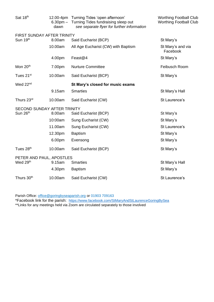| Sat 18th               | dawn                        | 12.00-4pm Turning Tides 'open afternoon'<br>6.30pm - Turning Tides fundraising sleep out<br>see separate flyer for further information | <b>Worthing Football Club</b><br><b>Worthing Football Club</b> |  |
|------------------------|-----------------------------|----------------------------------------------------------------------------------------------------------------------------------------|----------------------------------------------------------------|--|
|                        | FIRST SUNDAY AFTER TRINITY  |                                                                                                                                        |                                                                |  |
| Sun 19th               | 8.00am                      | Said Eucharist (BCP)                                                                                                                   | St Mary's                                                      |  |
|                        | 10.00am                     | All Age Eucharist (CW) with Baptism                                                                                                    | St Mary's and via<br>Facebook                                  |  |
|                        | 4.00pm                      | Feast@4                                                                                                                                | St Mary's                                                      |  |
| Mon 20 <sup>th</sup>   | 7.00pm                      | <b>Nurture Committee</b>                                                                                                               | Feibusch Room                                                  |  |
| Tues 21 <sup>st</sup>  | 10.00am                     | Said Eucharist (BCP)                                                                                                                   | St Mary's                                                      |  |
| Wed 22 <sup>nd</sup>   |                             | St Mary's closed for music exams                                                                                                       |                                                                |  |
|                        | 9.15am                      | <b>Smarties</b>                                                                                                                        | St Mary's Hall                                                 |  |
| Thurs 23rd             | 10.00am                     | Said Eucharist (CW)                                                                                                                    | St Laurence's                                                  |  |
|                        | SECOND SUNDAY AFTER TRINITY |                                                                                                                                        |                                                                |  |
| Sun 26 <sup>th</sup>   | 8.00am                      | Said Eucharist (BCP)                                                                                                                   | St Mary's                                                      |  |
|                        | 10:00am                     | Sung Eucharist (CW)                                                                                                                    | St Mary's                                                      |  |
|                        | 11.00am                     | Sung Eucharist (CW)                                                                                                                    | St Laurence's                                                  |  |
|                        | 12.30pm                     | <b>Baptism</b>                                                                                                                         | St Mary's                                                      |  |
|                        | 6.00pm                      | Evensong                                                                                                                               | St Mary's                                                      |  |
| Tues 28 <sup>th</sup>  | 10.00am                     | Said Eucharist (BCP)                                                                                                                   | St Mary's                                                      |  |
|                        | PETER AND PAUL, APOSTLES    |                                                                                                                                        |                                                                |  |
| Wed 29th               | 9.15am                      | <b>Smarties</b>                                                                                                                        | St Mary's Hall                                                 |  |
|                        | 4.30pm                      | <b>Baptism</b>                                                                                                                         | St Mary's                                                      |  |
| Thurs 30 <sup>th</sup> | 10.00am                     | Said Eucharist (CW)                                                                                                                    | St Laurence's                                                  |  |

Parish Office: [office@goringbyseaparish.org](mailto:office@goringbyseaparish.org) or 01903 709163

\*Facebook link for the parish: <https://www.facebook.com/StMaryAndStLaurenceGoringBySea>

\*\*Links for any meetings held via Zoom are circulated separately to those involved